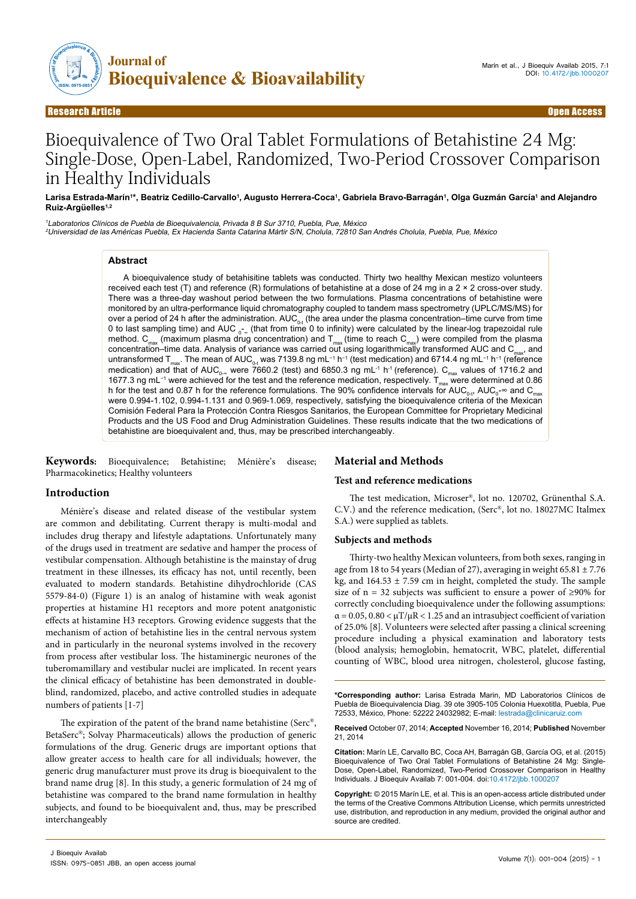

# Bioequivalence of Two Oral Tablet Formulations of Betahistine 24 Mg: Single-Dose, Open-Label, Randomized, Two-Period Crossover Comparison in Healthy Individuals

#### Larisa Estrada-Marín'\*, Beatriz Cedillo-Carvallo1, Augusto Herrera-Coca1, Gabriela Bravo-Barragán<sup>1</sup>, Olga Guzmán García1 and Alejandro **Ruiz-Argüelles1,2**

<sup>1</sup>Laboratorios Clínicos de Puebla de Bioequivalencia, Privada 8 B Sur 3710, Puebla, Pue, México

<sup>2</sup>Universidad de las Américas Puebla, Ex Hacienda Santa Catarina Mártir S/N, Cholula, 72810 San Andrés Cholula, Puebla, Pue, México

## **Abstract**

A bioequivalence study of betahisitine tablets was conducted. Thirty two healthy Mexican mestizo volunteers received each test (T) and reference (R) formulations of betahistine at a dose of 24 mg in a 2 × 2 cross-over study. There was a three-day washout period between the two formulations. Plasma concentrations of betahistine were monitored by an ultra-performance liquid chromatography coupled to tandem mass spectrometry (UPLC/MS/MS) for over a period of 24 h after the administration. AUC<sub>0-t</sub> (the area under the plasma concentration–time curve from time 0 to last sampling time) and AUC  $_\circ$   $_\circ$  (that from time 0 to infinity) were calculated by the linear-log trapezoidal rule method.  $C_{max}$  (maximum plasma drug concentration) and  $T_{max}$  (time to reach  $C_{max}$ ) were compiled from the plasma concentration–time data. Analysis of variance was carried out using logarithmically transformed AUC and  $C_{\text{max}}$ , and untransformed T<sub>max</sub>. The mean of AUC<sub>0-t</sub> was 7139.8 ng mL<sup>−1</sup> h<sup>−1</sup> (test medication) and 6714.4 ng mL<sup>−1</sup> h<sup>−1</sup> (reference medication) and that of AUC $_{_0\text{\tiny w}}$  were 7660.2 (test) and 6850.3 ng mL<sup>-1</sup> h<sup>-1</sup> (reference).  $\text{C}_{_{\sf max}}$  values of 1716.2 and 1677.3 ng mL<sup>-1</sup> were achieved for the test and the reference medication, respectively. T<sub>max</sub> were determined at 0.86 h for the test and 0.87 h for the reference formulations. The 90% confidence intervals for AUC $_{_{0}.i}$ , AUC $_{_{0}}$ -∞ and C $_{_{\sf max}}$ were 0.994-1.102, 0.994-1.131 and 0.969-1.069, respectively, satisfying the bioequivalence criteria of the Mexican Comisión Federal Para la Protección Contra Riesgos Sanitarios, the European Committee for Proprietary Medicinal Products and the US Food and Drug Administration Guidelines. These results indicate that the two medications of betahistine are bioequivalent and, thus, may be prescribed interchangeably.

**Keywords:** Bioequivalence; Betahistine; Ménière's disease; Pharmacokinetics; Healthy volunteers

## **Introduction**

Ménière's disease and related disease of the vestibular system are common and debilitating. Current therapy is multi-modal and includes drug therapy and lifestyle adaptations. Unfortunately many of the drugs used in treatment are sedative and hamper the process of vestibular compensation. Although betahistine is the mainstay of drug treatment in these illnesses, its efficacy has not, until recently, been evaluated to modern standards. Betahistine dihydrochloride (CAS 5579-84-0) (Figure 1) is an analog of histamine with weak agonist properties at histamine H1 receptors and more potent anatgonistic effects at histamine H3 receptors. Growing evidence suggests that the mechanism of action of betahistine lies in the central nervous system and in particularly in the neuronal systems involved in the recovery from process after vestibular loss. The histaminergic neurones of the tuberomamillary and vestibular nuclei are implicated. In recent years the clinical efficacy of betahistine has been demonstrated in doubleblind, randomized, placebo, and active controlled studies in adequate numbers of patients [1-7]

The expiration of the patent of the brand name betahistine (Serc®, BetaSerc®; Solvay Pharmaceuticals) allows the production of generic formulations of the drug. Generic drugs are important options that allow greater access to health care for all individuals; however, the generic drug manufacturer must prove its drug is bioequivalent to the brand name drug [8]. In this study, a generic formulation of 24 mg of betahistine was compared to the brand name formulation in healthy subjects, and found to be bioequivalent and, thus, may be prescribed interchangeably

# **Material and Methods**

#### **Test and reference medications**

The test medication, Microser®, lot no. 120702, Grünenthal S.A. C.V.) and the reference medication, (Serc®, lot no. 18027MC Italmex S.A.) were supplied as tablets.

#### **Subjects and methods**

Thirty-two healthy Mexican volunteers, from both sexes, ranging in age from 18 to 54 years (Median of 27), averaging in weight  $65.81 \pm 7.76$ kg, and  $164.53 \pm 7.59$  cm in height, completed the study. The sample size of  $n = 32$  subjects was sufficient to ensure a power of ≥90% for correctly concluding bioequivalence under the following assumptions:  $\alpha$  = 0.05, 0.80 <  $\mu$ T/ $\mu$ R < 1.25 and an intrasubject coefficient of variation of 25.0% [8]. Volunteers were selected after passing a clinical screening procedure including a physical examination and laboratory tests (blood analysis; hemoglobin, hematocrit, WBC, platelet, differential counting of WBC, blood urea nitrogen, cholesterol, glucose fasting,

**\*Corresponding author:** Larisa Estrada Marin, MD Laboratorios Clínicos de Puebla de Bioequivalencia Diag. 39 ote 3905-105 Colonia Huexotitla, Puebla, Pue 72533, México, Phone: 52222 24032982; E-mail: lestrada@clinicaruiz.com

**Received** October 07, 2014; **Accepted** November 16, 2014; **Published** November 21, 2014

**Citation:** Marín LE, Carvallo BC, Coca AH, Barragán GB, García OG, et al. (2015) Bioequivalence of Two Oral Tablet Formulations of Betahistine 24 Mg: Single-Dose, Open-Label, Randomized, Two-Period Crossover Comparison in Healthy Individuals. J Bioequiv Availab 7: 001-004. doi:10.4172/jbb.1000207

**Copyright:** © 2015 Marín LE, et al. This is an open-access article distributed under the terms of the Creative Commons Attribution License, which permits unrestricted use, distribution, and reproduction in any medium, provided the original author and source are credited.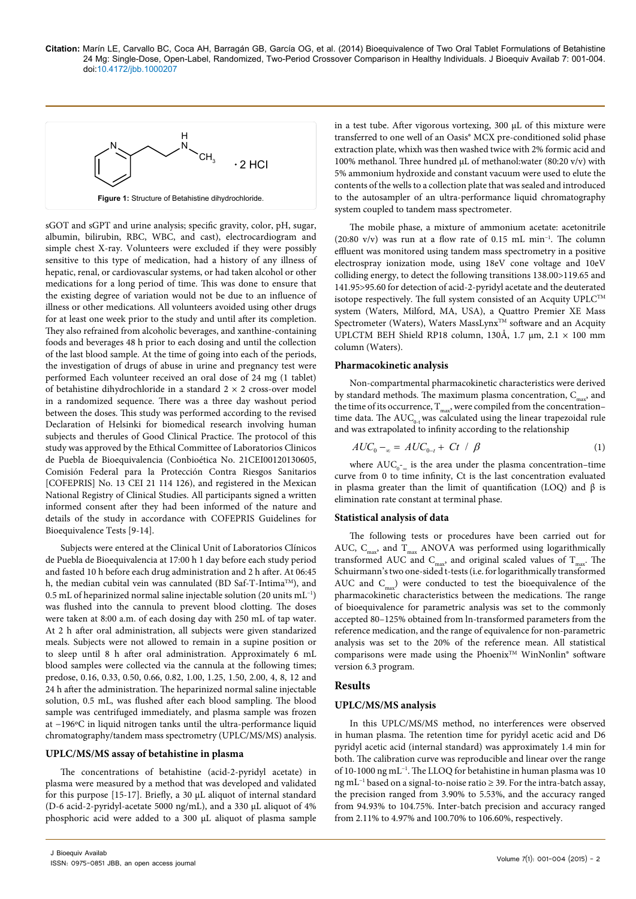**Citation:** Marín LE, Carvallo BC, Coca AH, Barragán GB, García OG, et al. (2014) Bioequivalence of Two Oral Tablet Formulations of Betahistine 24 Mg: Single-Dose, Open-Label, Randomized, Two-Period Crossover Comparison in Healthy Individuals. J Bioequiv Availab 7: 001-004. doi:10.4172/jbb.1000207



sGOT and sGPT and urine analysis; specific gravity, color, pH, sugar, albumin, bilirubin, RBC, WBC, and cast), electrocardiogram and simple chest X-ray. Volunteers were excluded if they were possibly sensitive to this type of medication, had a history of any illness of hepatic, renal, or cardiovascular systems, or had taken alcohol or other medications for a long period of time. This was done to ensure that the existing degree of variation would not be due to an influence of illness or other medications. All volunteers avoided using other drugs for at least one week prior to the study and until after its completion. They also refrained from alcoholic beverages, and xanthine-containing foods and beverages 48 h prior to each dosing and until the collection of the last blood sample. At the time of going into each of the periods, the investigation of drugs of abuse in urine and pregnancy test were performed Each volunteer received an oral dose of 24 mg (1 tablet) of betahistine dihydrochloride in a standard  $2 \times 2$  cross-over model in a randomized sequence. There was a three day washout period between the doses. This study was performed according to the revised Declaration of Helsinki for biomedical research involving human subjects and therules of Good Clinical Practice. The protocol of this study was approved by the Ethical Committee of Laboratorios Clinicos de Puebla de Bioequivalencia (Conbioética No. 21CEI00120130605, Comisión Federal para la Protección Contra Riesgos Sanitarios [COFEPRIS] No. 13 CEI 21 114 126), and registered in the Mexican National Registry of Clinical Studies. All participants signed a written informed consent after they had been informed of the nature and details of the study in accordance with COFEPRIS Guidelines for Bioequivalence Tests [9-14].

Subjects were entered at the Clinical Unit of Laboratorios Clínicos de Puebla de Bioequivalencia at 17:00 h 1 day before each study period and fasted 10 h before each drug administration and 2 h after. At 06:45 h, the median cubital vein was cannulated (BD Saf-T-Intima<sup>TM</sup>), and 0.5 mL of heparinized normal saline injectable solution (20 units mL−1) was flushed into the cannula to prevent blood clotting. The doses were taken at 8:00 a.m. of each dosing day with 250 mL of tap water. At 2 h after oral administration, all subjects were given standarized meals. Subjects were not allowed to remain in a supine position or to sleep until 8 h after oral administration. Approximately 6 mL blood samples were collected via the cannula at the following times; predose, 0.16, 0.33, 0.50, 0.66, 0.82, 1.00, 1.25, 1.50, 2.00, 4, 8, 12 and 24 h after the administration. The heparinized normal saline injectable solution, 0.5 mL, was flushed after each blood sampling. The blood sample was centrifuged immediately, and plasma sample was frozen at −196ºC in liquid nitrogen tanks until the ultra-performance liquid chromatography/tandem mass spectrometry (UPLC/MS/MS) analysis.

#### **UPLC/MS/MS assay of betahistine in plasma**

The concentrations of betahistine (acid-2-pyridyl acetate) in plasma were measured by a method that was developed and validated for this purpose [15-17]. Briefly, a 30 µL aliquot of internal standard (D-6 acid-2-pyridyl-acetate 5000 ng/mL), and a 330 µL aliquot of 4% phosphoric acid were added to a 300 µL aliquot of plasma sample

in a test tube. After vigorous vortexing, 300 µL of this mixture were transferred to one well of an Oasis® MCX pre-conditioned solid phase extraction plate, whixh was then washed twice with 2% formic acid and 100% methanol. Three hundred µL of methanol:water (80:20 v/v) with 5% ammonium hydroxide and constant vacuum were used to elute the contents of the wells to a collection plate that was sealed and introduced to the autosampler of an ultra-performance liquid chromatography system coupled to tandem mass spectrometer.

The mobile phase, a mixture of ammonium acetate: acetonitrile (20:80 v/v) was run at a flow rate of 0.15 mL min−1. The column effluent was monitored using tandem mass spectrometry in a positive electrospray ionization mode, using 18eV cone voltage and 10eV colliding energy, to detect the following transitions 138.00>119.65 and 141.95>95.60 for detection of acid-2-pyridyl acetate and the deuterated isotope respectively. The full system consisted of an Acquity  $\text{UPLC}^{\text{TM}}$ system (Waters, Milford, MA, USA), a Quattro Premier XE Mass Spectrometer (Waters), Waters MassLynx<sup>TM</sup> software and an Acquity UPLCTM BEH Shield RP18 column, 130Å, 1.7  $\mu$ m, 2.1  $\times$  100 mm column (Waters).

#### **Pharmacokinetic analysis**

Non-compartmental pharmacokinetic characteristics were derived by standard methods. The maximum plasma concentration,  $C_{\text{max}}$ , and the time of its occurrence,  $T_{\text{max}}$ , were compiled from the concentration– time data. The  $AUC_{0,+}$  was calculated using the linear trapezoidal rule and was extrapolated to infinity according to the relationship

$$
AUC_0 -_{\infty} = AUC_{0-t} + Ct / \beta
$$
 (1)

where  $AUC_{0}$ -<sub>∞</sub> is the area under the plasma concentration–time curve from 0 to time infinity, Ct is the last concentration evaluated in plasma greater than the limit of quantification (LOQ) and β is elimination rate constant at terminal phase.

### **Statistical analysis of data**

The following tests or procedures have been carried out for AUC,  $C_{max}$ , and  $T_{max}$  ANOVA was performed using logarithmically transformed AUC and  $C_{\text{max}}$ , and original scaled values of  $T_{\text{max}}$ . The Schuirmann's two one-sided t-tests (i.e. for logarithmically transformed AUC and  $C_{\text{max}}$ ) were conducted to test the bioequivalence of the pharmacokinetic characteristics between the medications. The range of bioequivalence for parametric analysis was set to the commonly accepted 80–125% obtained from ln-transformed parameters from the reference medication, and the range of equivalence for non-parametric analysis was set to the 20% of the reference mean. All statistical comparisons were made using the Phoenix<sup>TM</sup> WinNonlin<sup>®</sup> software version 6.3 program.

### **Results**

## **UPLC/MS/MS analysis**

In this UPLC/MS/MS method, no interferences were observed in human plasma. The retention time for pyridyl acetic acid and D6 pyridyl acetic acid (internal standard) was approximately 1.4 min for both. The calibration curve was reproducible and linear over the range of 10-1000 ng mL−1. The LLOQ for betahistine in human plasma was 10 ng mL−1 based on a signal-to-noise ratio ≥ 39. For the intra-batch assay, the precision ranged from 3.90% to 5.53%, and the accuracy ranged from 94.93% to 104.75%. Inter-batch precision and accuracy ranged from 2.11% to 4.97% and 100.70% to 106.60%, respectively.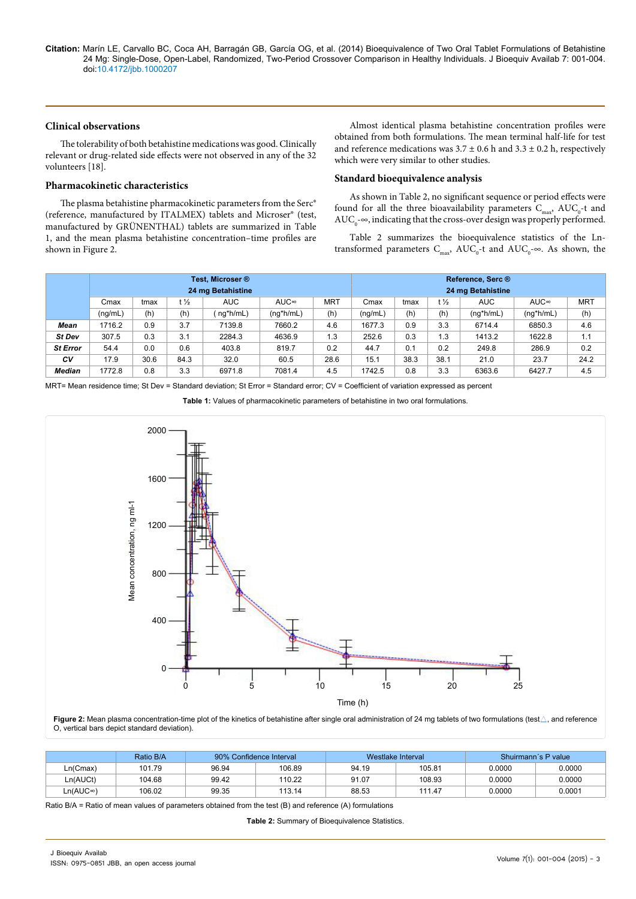**Citation:** Marín LE, Carvallo BC, Coca AH, Barragán GB, García OG, et al. (2014) Bioequivalence of Two Oral Tablet Formulations of Betahistine 24 Mg: Single-Dose, Open-Label, Randomized, Two-Period Crossover Comparison in Healthy Individuals. J Bioequiv Availab 7: 001-004. doi:10.4172/jbb.1000207

## **Clinical observations**

The tolerability of both betahistine medications was good. Clinically relevant or drug-related side effects were not observed in any of the 32 volunteers [18].

### **Pharmacokinetic characteristics**

The plasma betahistine pharmacokinetic parameters from the Serc® (reference, manufactured by ITALMEX) tablets and Microser® (test, manufactured by GRÜNENTHAL) tablets are summarized in Table 1, and the mean plasma betahistine concentration–time profiles are shown in Figure 2.

Almost identical plasma betahistine concentration profiles were obtained from both formulations. The mean terminal half-life for test and reference medications was  $3.7 \pm 0.6$  h and  $3.3 \pm 0.2$  h, respectively which were very similar to other studies.

### **Standard bioequivalence analysis**

As shown in Table 2, no significant sequence or period effects were found for all the three bioavailability parameters  $C_{\text{max}}$ , AUC<sub>0</sub>-t and  $\mathrm{AUC}_\mathrm{0}$  - $\infty$ , indicating that the cross-over design was properly performed.

Table 2 summarizes the bioequivalence statistics of the Lntransformed parameters  $C_{\text{max}}$ ,  $\text{AUC}_{0}$ -t and  $\text{AUC}_{0}$ - $\infty$ . As shown, the

|                 | Test. Microser ®<br>24 mg Betahistine |      |                 |            |              |            |         | Reference, Serc ®<br>24 mg Betahistine |      |              |              |            |  |  |
|-----------------|---------------------------------------|------|-----------------|------------|--------------|------------|---------|----------------------------------------|------|--------------|--------------|------------|--|--|
|                 | Cmax                                  | tmax | t $\frac{1}{2}$ | <b>AUC</b> | AUC∞         | <b>MRT</b> | Cmax    | tmax                                   | t ½  | <b>AUC</b>   | AUC∞         | <b>MRT</b> |  |  |
|                 | (nq/mL)                               | (h)  | (h)             | ng*h/mL)   | $(nq^*h/mL)$ | (h)        | (nq/mL) | (h)                                    | (h)  | $(nq^*h/mL)$ | $(nq^*h/mL)$ | (h)        |  |  |
| Mean            | 1716.2                                | 0.9  | 3.7             | 7139.8     | 7660.2       | 4.6        | 1677.3  | 0.9                                    | 3.3  | 6714.4       | 6850.3       | 4.6        |  |  |
| St Dev          | 307.5                                 | 0.3  | 3.1             | 2284.3     | 4636.9       | 1.3        | 252.6   | 0.3                                    | 1.3  | 1413.2       | 1622.8       | 1.1        |  |  |
| <b>St Error</b> | 54.4                                  | 0.0  | 0.6             | 403.8      | 819.7        | 0.2        | 44.7    | 0.1                                    | 0.2  | 249.8        | 286.9        | 0.2        |  |  |
| CV              | 17.9                                  | 30.6 | 84.3            | 32.0       | 60.5         | 28.6       | 15.1    | 38.3                                   | 38.1 | 21.0         | 23.7         | 24.2       |  |  |
| <b>Median</b>   | 1772.8                                | 0.8  | 3.3             | 6971.8     | 7081.4       | 4.5        | 1742.5  | 0.8                                    | 3.3  | 6363.6       | 6427.7       | 4.5        |  |  |

MRT= Mean residence time; St Dev = Standard deviation; St Error = Standard error; CV = Coefficient of variation expressed as percent

**Table 1:** Values of pharmacokinetic parameters of betahistine in two oral formulations.



О, vertical bars depict standard deviation).

|          | Ratio B/A |       | 90% Confidence Interval |       | Westlake Interval | Shuirmann's P value |        |  |
|----------|-----------|-------|-------------------------|-------|-------------------|---------------------|--------|--|
| Ln(Cmax) | 101.79    | 96.94 | 106.89                  | 94.19 | 105.81            | 0.0000              | 0.0000 |  |
| Ln(AUCt) | 104.68    | 99.42 | 110.22                  | 91.07 | 108.93            | 0.0000              | 0.0000 |  |
| Ln(AUC∞) | 106.02    | 99.35 | 113.14                  | 88.53 | 111.47            | 0.0000              | 0.0001 |  |

Ratio B/A = Ratio of mean values of parameters obtained from the test (B) and reference (A) formulations

**Table 2:** Summary of Bioequivalence Statistics.